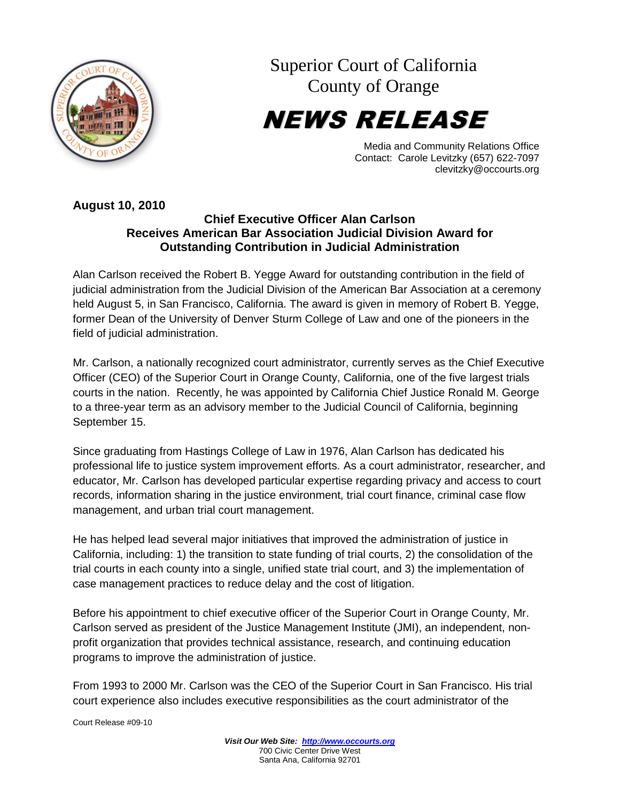

Superior Court of California County of Orange

NEWS RELEASE

Media and Community Relations Office Contact: Carole Levitzky (657) 622-7097 clevitzky@occourts.org

## **August 10, 2010**

## **Chief Executive Officer Alan Carlson Receives American Bar Association Judicial Division Award for Outstanding Contribution in Judicial Administration**

Alan Carlson received the Robert B. Yegge Award for outstanding contribution in the field of judicial administration from the Judicial Division of the American Bar Association at a ceremony held August 5, in San Francisco, California. The award is given in memory of Robert B. Yegge, former Dean of the University of Denver Sturm College of Law and one of the pioneers in the field of judicial administration.

Mr. Carlson, a nationally recognized court administrator, currently serves as the Chief Executive Officer (CEO) of the Superior Court in Orange County, California, one of the five largest trials courts in the nation. Recently, he was appointed by California Chief Justice Ronald M. George to a three-year term as an advisory member to the Judicial Council of California, beginning September 15.

Since graduating from Hastings College of Law in 1976, Alan Carlson has dedicated his professional life to justice system improvement efforts. As a court administrator, researcher, and educator, Mr. Carlson has developed particular expertise regarding privacy and access to court records, information sharing in the justice environment, trial court finance, criminal case flow management, and urban trial court management.

He has helped lead several major initiatives that improved the administration of justice in California, including: 1) the transition to state funding of trial courts, 2) the consolidation of the trial courts in each county into a single, unified state trial court, and 3) the implementation of case management practices to reduce delay and the cost of litigation.

Before his appointment to chief executive officer of the Superior Court in Orange County, Mr. Carlson served as president of the Justice Management Institute (JMI), an independent, nonprofit organization that provides technical assistance, research, and continuing education programs to improve the administration of justice.

From 1993 to 2000 Mr. Carlson was the CEO of the Superior Court in San Francisco. His trial court experience also includes executive responsibilities as the court administrator of the

Court Release #09-10